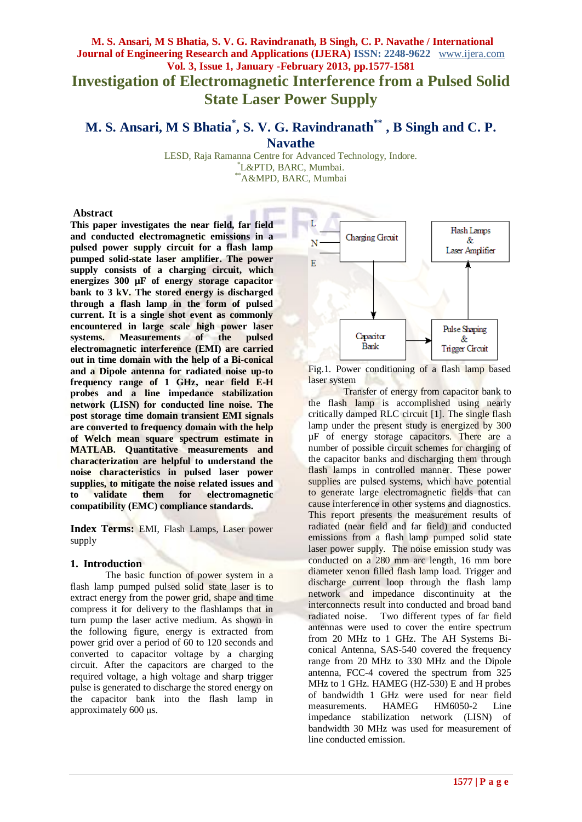# **M. S. Ansari, M S Bhatia, S. V. G. Ravindranath, B Singh, C. P. Navathe / International Journal of Engineering Research and Applications (IJERA) ISSN: 2248-9622** www.ijera.com **Vol. 3, Issue 1, January -February 2013, pp.1577-1581 Investigation of Electromagnetic Interference from a Pulsed Solid State Laser Power Supply**

# **M. S. Ansari, M S Bhatia\* , S. V. G. Ravindranath\*\* , B Singh and C. P. Navathe**

LESD, Raja Ramanna Centre for Advanced Technology, Indore. \*L&PTD, BARC, Mumbai. \*\*A&MPD, BARC, Mumbai

#### **Abstract**

**This paper investigates the near field, far field and conducted electromagnetic emissions in a pulsed power supply circuit for a flash lamp pumped solid-state laser amplifier. The power supply consists of a charging circuit, which energizes 300 µF of energy storage capacitor bank to 3 kV. The stored energy is discharged through a flash lamp in the form of pulsed current. It is a single shot event as commonly encountered in large scale high power laser systems. Measurements of the pulsed electromagnetic interference (EMI) are carried out in time domain with the help of a Bi-conical and a Dipole antenna for radiated noise up-to frequency range of 1 GHz, near field E-H probes and a line impedance stabilization network (LISN) for conducted line noise. The post storage time domain transient EMI signals are converted to frequency domain with the help of Welch mean square spectrum estimate in MATLAB. Quantitative measurements and characterization are helpful to understand the noise characteristics in pulsed laser power supplies, to mitigate the noise related issues and to validate them for electromagnetic compatibility (EMC) compliance standards.** 

**Index Terms:** EMI, Flash Lamps, Laser power supply

#### **1. Introduction**

The basic function of power system in a flash lamp pumped pulsed solid state laser is to extract energy from the power grid, shape and time compress it for delivery to the flashlamps that in turn pump the laser active medium. As shown in the following figure, energy is extracted from power grid over a period of 60 to 120 seconds and converted to capacitor voltage by a charging circuit. After the capacitors are charged to the required voltage, a high voltage and sharp trigger pulse is generated to discharge the stored energy on the capacitor bank into the flash lamp in approximately 600 μs.



Fig.1. Power conditioning of a flash lamp based laser system

Transfer of energy from capacitor bank to the flash lamp is accomplished using nearly critically damped RLC circuit [1]. The single flash lamp under the present study is energized by 300 uF of energy storage capacitors. There are a number of possible circuit schemes for charging of the capacitor banks and discharging them through flash lamps in controlled manner. These power supplies are pulsed systems, which have potential to generate large electromagnetic fields that can cause interference in other systems and diagnostics. This report presents the measurement results of radiated (near field and far field) and conducted emissions from a flash lamp pumped solid state laser power supply. The noise emission study was conducted on a 280 mm arc length, 16 mm bore diameter xenon filled flash lamp load. Trigger and discharge current loop through the flash lamp network and impedance discontinuity at the interconnects result into conducted and broad band radiated noise. Two different types of far field antennas were used to cover the entire spectrum from 20 MHz to 1 GHz. The AH Systems Biconical Antenna, SAS-540 covered the frequency range from 20 MHz to 330 MHz and the Dipole antenna, FCC-4 covered the spectrum from 325 MHz to 1 GHz. HAMEG (HZ-530) E and H probes of bandwidth 1 GHz were used for near field measurements. HAMEG HM6050-2 Line impedance stabilization network (LISN) of bandwidth 30 MHz was used for measurement of line conducted emission.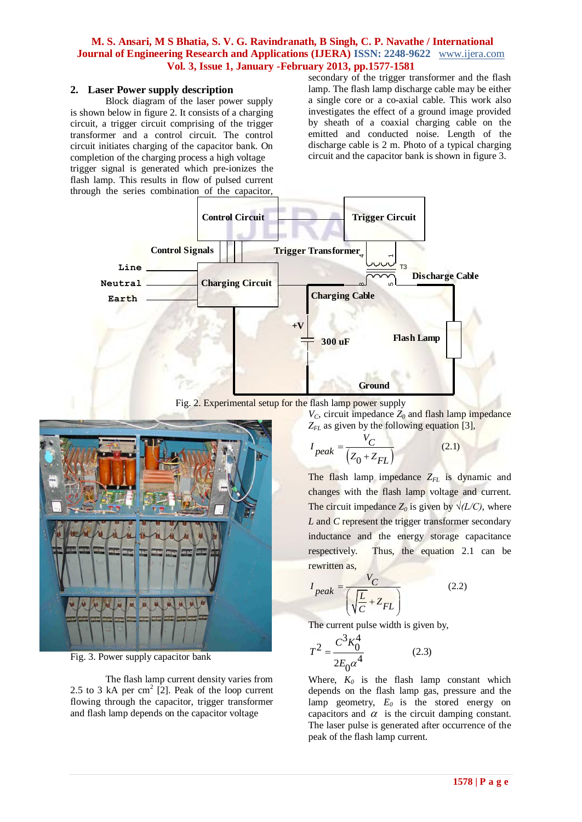# **M. S. Ansari, M S Bhatia, S. V. G. Ravindranath, B Singh, C. P. Navathe / International Journal of Engineering Research and Applications (IJERA) ISSN: 2248-9622** www.ijera.com **Vol. 3, Issue 1, January -February 2013, pp.1577-1581**

# **2. Laser Power supply description**

Block diagram of the laser power supply is shown below in figure 2. It consists of a charging circuit, a trigger circuit comprising of the trigger transformer and a control circuit. The control circuit initiates charging of the capacitor bank. On completion of the charging process a high voltage trigger signal is generated which pre-ionizes the flash lamp. This results in flow of pulsed current through the series combination of the capacitor,

secondary of the trigger transformer and the flash lamp. The flash lamp discharge cable may be either a single core or a co-axial cable. This work also investigates the effect of a ground image provided by sheath of a coaxial charging cable on the emitted and conducted noise. Length of the discharge cable is 2 m. Photo of a typical charging circuit and the capacitor bank is shown in figure 3.



Fig. 2. Experimental setup for the flash lamp power supply



Fig. 3. Power supply capacitor bank

The flash lamp current density varies from 2.5 to 3 kA per  $\text{cm}^2$  [2]. Peak of the loop current flowing through the capacitor, trigger transformer and flash lamp depends on the capacitor voltage

 $V_C$ , circuit impedance  $Z_0$  and flash lamp impedance *ZFL* as given by the following equation [3],

$$
I_{peak} = \frac{V_C}{\left(Z_0 + Z_{FL}\right)}\tag{2.1}
$$

The flash lamp impedance  $Z_{FL}$  is dynamic and changes with the flash lamp voltage and current. The circuit impedance  $Z_0$  is given by  $\sqrt{\frac{L}{C}}$ , where *L* and *C* represent the trigger transformer secondary inductance and the energy storage capacitance respectively. Thus, the equation 2.1 can be rewritten as,

$$
I_{peak} = \frac{V_C}{\left(\sqrt{\frac{L}{C}} + Z_{FL}\right)}
$$
(2.2)

The current pulse width is given by,  
\n
$$
T^{2} = \frac{C^{3} K_{0}^{4}}{2E_{0} \alpha^{4}}
$$
\n(2.3)

Where,  $K_0$  is the flash lamp constant which depends on the flash lamp gas, pressure and the lamp geometry, *E<sup>0</sup>* is the stored energy on capacitors and  $\alpha$  is the circuit damping constant. The laser pulse is generated after occurrence of the peak of the flash lamp current.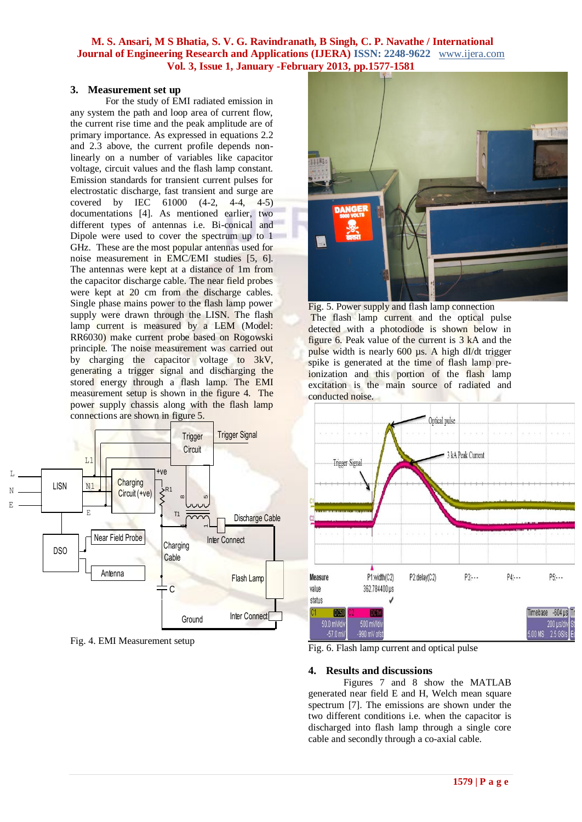# **M. S. Ansari, M S Bhatia, S. V. G. Ravindranath, B Singh, C. P. Navathe / International Journal of Engineering Research and Applications (IJERA) ISSN: 2248-9622** www.ijera.com **Vol. 3, Issue 1, January -February 2013, pp.1577-1581**

# **3. Measurement set up**

For the study of EMI radiated emission in any system the path and loop area of current flow, the current rise time and the peak amplitude are of primary importance. As expressed in equations 2.2 and 2.3 above, the current profile depends nonlinearly on a number of variables like capacitor voltage, circuit values and the flash lamp constant. Emission standards for transient current pulses for electrostatic discharge, fast transient and surge are covered by IEC 61000 (4-2, 4-4, 4-5) documentations [4]. As mentioned earlier, two different types of antennas i.e. Bi-conical and Dipole were used to cover the spectrum up to 1 GHz. These are the most popular antennas used for noise measurement in EMC/EMI studies [5, 6]. The antennas were kept at a distance of 1m from the capacitor discharge cable. The near field probes were kept at 20 cm from the discharge cables. Single phase mains power to the flash lamp power supply were drawn through the LISN. The flash lamp current is measured by a LEM (Model: RR6030) make current probe based on Rogowski principle. The noise measurement was carried out by charging the capacitor voltage to 3kV, generating a trigger signal and discharging the stored energy through a flash lamp. The EMI measurement setup is shown in the figure 4. The power supply chassis along with the flash lamp connections are shown in figure 5.



Fig. 4. EMI Measurement setup



Fig. 5. Power supply and flash lamp connection

The flash lamp current and the optical pulse detected with a photodiode is shown below in figure 6. Peak value of the current is 3 kA and the pulse width is nearly 600 us. A high dI/dt trigger spike is generated at the time of flash lamp preionization and this portion of the flash lamp excitation is the main source of radiated and conducted noise.



Fig. 6. Flash lamp current and optical pulse

# **4. Results and discussions**

Figures 7 and 8 show the MATLAB generated near field E and H, Welch mean square spectrum [7]. The emissions are shown under the two different conditions i.e. when the capacitor is discharged into flash lamp through a single core cable and secondly through a co-axial cable.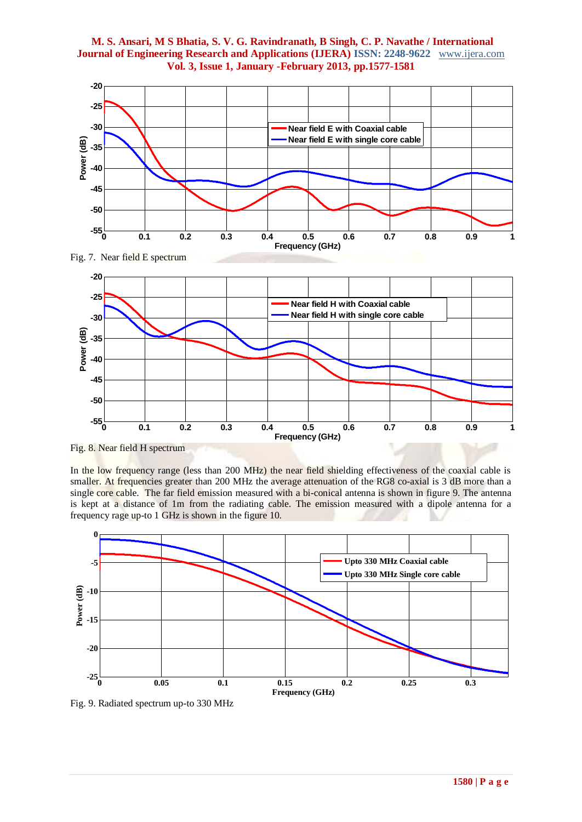





Fig. 7. Near field E spectrum

In the low frequency range (less than 200 MHz) the near field shielding effectiveness of the coaxial cable is smaller. At frequencies greater than 200 MHz the average attenuation of the RG8 co-axial is 3 dB more than a single core cable. The far field emission measured with a bi-conical antenna is shown in figure 9. The antenna is kept at a distance of 1m from the radiating cable. The emission measured with a dipole antenna for a frequency rage up-to 1 GHz is shown in the figure 10.



Fig. 9. Radiated spectrum up-to 330 MHz

Fig. 8. Near field H spectrum